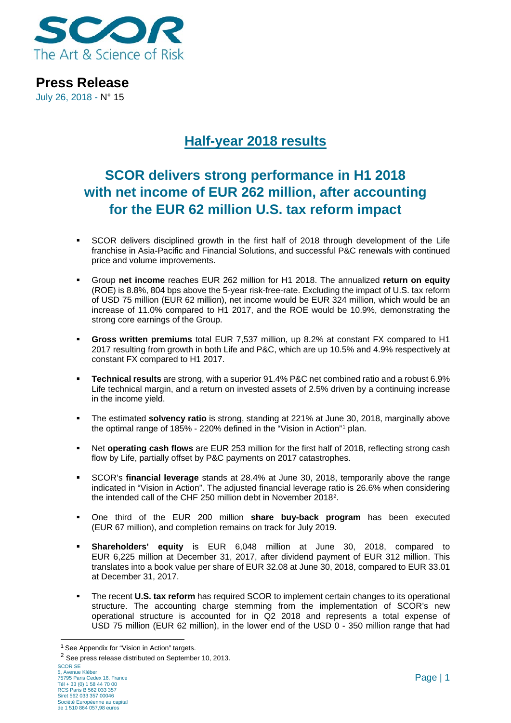

**Press Release** July 26, 2018 - N° 15

# **Half-year 2018 results**

# **SCOR delivers strong performance in H1 2018 with net income of EUR 262 million, after accounting for the EUR 62 million U.S. tax reform impact**

- SCOR delivers disciplined growth in the first half of 2018 through development of the Life franchise in Asia-Pacific and Financial Solutions, and successful P&C renewals with continued price and volume improvements.
- Group **net income** reaches EUR 262 million for H1 2018. The annualized **return on equity** (ROE) is 8.8%, 804 bps above the 5-year risk-free-rate. Excluding the impact of U.S. tax reform of USD 75 million (EUR 62 million), net income would be EUR 324 million, which would be an increase of 11.0% compared to H1 2017, and the ROE would be 10.9%, demonstrating the strong core earnings of the Group.
- **Gross written premiums** total EUR 7,537 million, up 8.2% at constant FX compared to H1 2017 resulting from growth in both Life and P&C, which are up 10.5% and 4.9% respectively at constant FX compared to H1 2017.
- **Technical results** are strong, with a superior 91.4% P&C net combined ratio and a robust 6.9% Life technical margin, and a return on invested assets of 2.5% driven by a continuing increase in the income yield.
- The estimated **solvency ratio** is strong, standing at 221% at June 30, 2018, marginally above the optimal range of 185% - 220% defined in the "Vision in Action"[1](#page-0-0) plan.
- Net **operating cash flows** are EUR 253 million for the first half of 2018, reflecting strong cash flow by Life, partially offset by P&C payments on 2017 catastrophes.
- SCOR's **financial leverage** stands at 28.4% at June 30, 2018, temporarily above the range indicated in "Vision in Action". The adjusted financial leverage ratio is 26.6% when considering the intended call of the CHF 250 million debt in November 2018[2.](#page-0-1)
- One third of the EUR 200 million **share buy-back program** has been executed (EUR 67 million), and completion remains on track for July 2019.
- **Shareholders' equity** is EUR 6,048 million at June 30, 2018, compared to EUR 6,225 million at December 31, 2017, after dividend payment of EUR 312 million. This translates into a book value per share of EUR 32.08 at June 30, 2018, compared to EUR 33.01 at December 31, 2017.
- The recent **U.S. tax reform** has required SCOR to implement certain changes to its operational structure. The accounting charge stemming from the implementation of SCOR's new operational structure is accounted for in Q2 2018 and represents a total expense of USD 75 million (EUR 62 million), in the lower end of the USD 0 - 350 million range that had

<sup>&</sup>lt;sup>1</sup> See Appendix for "Vision in Action" targets.

<span id="page-0-1"></span><span id="page-0-0"></span><sup>&</sup>lt;sup>2</sup> See press release distributed on September 10, 2013.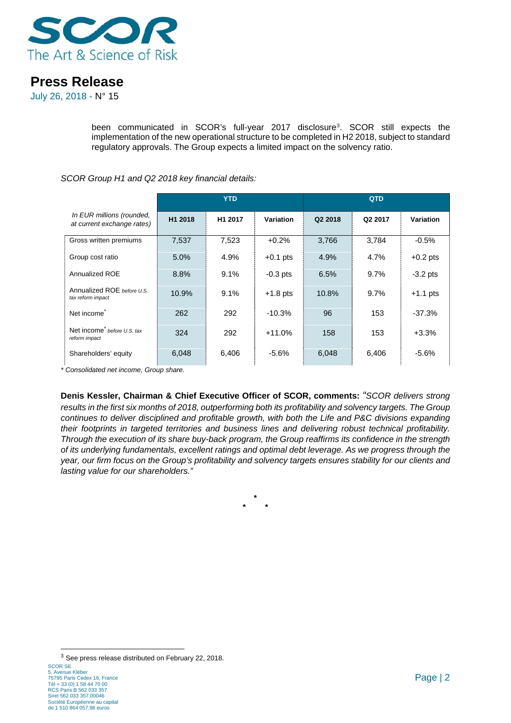

July 26, 2018 - N° 15

been communicated in SCOR's full-year 2017 disclosure<sup>3</sup>. SCOR still expects the implementation of the new operational structure to be completed in H2 2018, subject to standard regulatory approvals. The Group expects a limited impact on the solvency ratio.

*SCOR Group H1 and Q2 2018 key financial details:*

|                                                         | <b>YTD</b> |                     |            | <b>QTD</b> |         |                  |
|---------------------------------------------------------|------------|---------------------|------------|------------|---------|------------------|
| In EUR millions (rounded,<br>at current exchange rates) | H1 2018    | H <sub>1</sub> 2017 | Variation  | Q2 2018    | Q2 2017 | <b>Variation</b> |
| Gross written premiums                                  | 7,537      | 7,523               | $+0.2%$    | 3,766      | 3.784   | $-0.5%$          |
| Group cost ratio                                        | $5.0\%$    | 4.9%                | $+0.1$ pts | 4.9%       | 4.7%    | $+0.2$ pts       |
| Annualized ROE                                          | 8.8%       | $9.1\%$             | $-0.3$ pts | 6.5%       | $9.7\%$ | $-3.2$ pts       |
| Annualized ROE before U.S.<br>tax reform impact         | 10.9%      | $9.1\%$             | $+1.8$ pts | 10.8%      | 9.7%    | $+1.1$ pts       |
| Net income <sup>®</sup>                                 | 262        | 292                 | $-10.3%$   | 96         | 153     | $-37.3%$         |
| Net income before U.S. tax<br>reform impact             | 324        | 292                 | $+11.0%$   | 158        | 153     | $+3.3%$          |
| Shareholders' equity                                    | 6,048      | 6,406               | -5.6%      | 6,048      | 6,406   | $-5.6%$          |

*\* Consolidated net income, Group share.*

**Denis Kessler, Chairman & Chief Executive Officer of SCOR, comments:** *"SCOR delivers strong results in the first six months of 2018, outperforming both its profitability and solvency targets. The Group continues to deliver disciplined and profitable growth, with both the Life and P&C divisions expanding their footprints in targeted territories and business lines and delivering robust technical profitability. Through the execution of its share buy-back program, the Group reaffirms its confidence in the strength of its underlying fundamentals, excellent ratings and optimal debt leverage. As we progress through the year, our firm focus on the Group's profitability and solvency targets ensures stability for our clients and lasting value for our shareholders."*

> **\* \* \***

<span id="page-1-0"></span> <sup>3</sup> See press release distributed on February 22, 2018.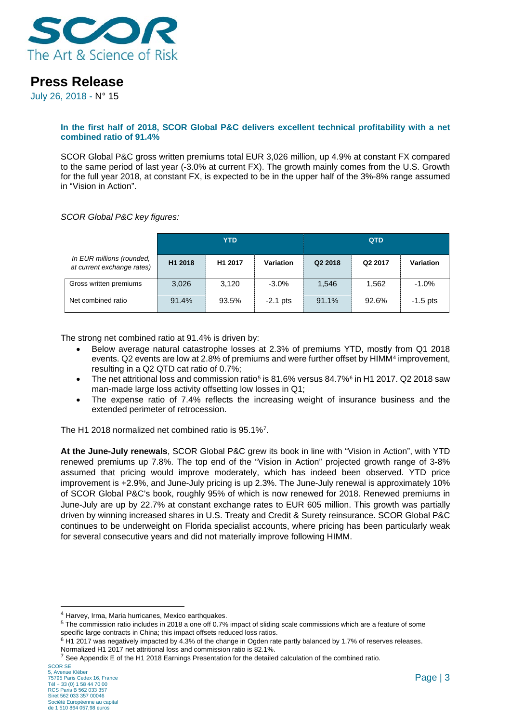

July 26, 2018 - N° 15

**In the first half of 2018, SCOR Global P&C delivers excellent technical profitability with a net combined ratio of 91.4%**

SCOR Global P&C gross written premiums total EUR 3,026 million, up 4.9% at constant FX compared to the same period of last year (-3.0% at current FX). The growth mainly comes from the U.S. Growth for the full year 2018, at constant FX, is expected to be in the upper half of the 3%-8% range assumed in "Vision in Action".

### *SCOR Global P&C key figures:*

|                                                         | <b>YTD</b> |                     |            | <b>QTD</b> |                     |            |
|---------------------------------------------------------|------------|---------------------|------------|------------|---------------------|------------|
| In EUR millions (rounded,<br>at current exchange rates) | H1 2018    | H <sub>1</sub> 2017 | Variation  | Q2 2018    | Q <sub>2</sub> 2017 | Variation  |
| Gross written premiums                                  | 3.026      | 3,120               | $-3.0\%$   | 1.546      | 1.562               | $-1.0%$    |
| Net combined ratio                                      | 91.4%      | 93.5%               | $-2.1$ pts | 91.1%      | 92.6%               | $-1.5$ pts |

The strong net combined ratio at 91.4% is driven by:

- Below average natural catastrophe losses at 2.3% of premiums YTD, mostly from Q1 2018 events. Q2 events are low at 2.8% of premiums and were further offset by HIMM<sup>[4](#page-2-0)</sup> improvement, resulting in a Q2 QTD cat ratio of 0.7%;
- The net attritional loss and commission ratio<sup>5</sup> is 81.[6](#page-2-2)% versus 84.7%<sup>6</sup> in H1 2017. Q2 2018 saw man-made large loss activity offsetting low losses in Q1;
- The expense ratio of 7.4% reflects the increasing weight of insurance business and the extended perimeter of retrocession.

The H1 2018 normalized net combined ratio is 95.1%[7](#page-2-3).

**At the June-July renewals**, SCOR Global P&C grew its book in line with "Vision in Action", with YTD renewed premiums up 7.8%. The top end of the "Vision in Action" projected growth range of 3-8% assumed that pricing would improve moderately, which has indeed been observed. YTD price improvement is +2.9%, and June-July pricing is up 2.3%. The June-July renewal is approximately 10% of SCOR Global P&C's book, roughly 95% of which is now renewed for 2018. Renewed premiums in June-July are up by 22.7% at constant exchange rates to EUR 605 million. This growth was partially driven by winning increased shares in U.S. Treaty and Credit & Surety reinsurance. SCOR Global P&C continues to be underweight on Florida specialist accounts, where pricing has been particularly weak for several consecutive years and did not materially improve following HIMM.

<span id="page-2-0"></span> <sup>4</sup> Harvey, Irma, Maria hurricanes, Mexico earthquakes.

<span id="page-2-1"></span><sup>5</sup> The commission ratio includes in 2018 a one off 0.7% impact of sliding scale commissions which are a feature of some specific large contracts in China; this impact offsets reduced loss ratios.

<span id="page-2-2"></span><sup>&</sup>lt;sup>6</sup> H1 2017 was negatively impacted by 4.3% of the change in Ogden rate partly balanced by 1.7% of reserves releases. Normalized H1 2017 net attritional loss and commission ratio is 82.1%.

<span id="page-2-3"></span> $7$  See Appendix E of the H1 2018 Earnings Presentation for the detailed calculation of the combined ratio.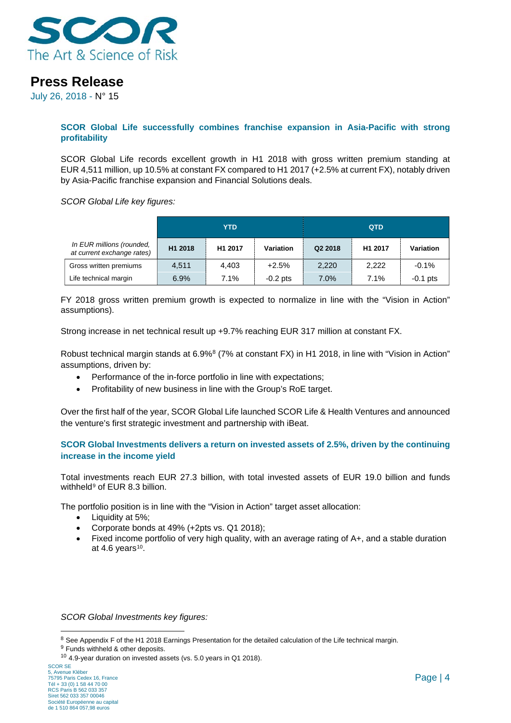

July 26, 2018 - N° 15

### **SCOR Global Life successfully combines franchise expansion in Asia-Pacific with strong profitability**

SCOR Global Life records excellent growth in H1 2018 with gross written premium standing at EUR 4,511 million, up 10.5% at constant FX compared to H1 2017 (+2.5% at current FX), notably driven by Asia-Pacific franchise expansion and Financial Solutions deals.

*SCOR Global Life key figures:* 

|                                                         | YTD     |                     |            |         | <b>QTD</b>          |            |
|---------------------------------------------------------|---------|---------------------|------------|---------|---------------------|------------|
| In EUR millions (rounded,<br>at current exchange rates) | H1 2018 | H <sub>1</sub> 2017 | Variation  | Q2 2018 | H <sub>1</sub> 2017 | Variation  |
| Gross written premiums                                  | 4.511   | 4.403               | $+2.5%$    | 2,220   | 2.222               | $-0.1%$    |
| Life technical margin                                   | 6.9%    | 7.1%                | $-0.2$ pts | 7.0%    | 7.1%                | $-0.1$ pts |

FY 2018 gross written premium growth is expected to normalize in line with the "Vision in Action" assumptions).

Strong increase in net technical result up +9.7% reaching EUR 317 million at constant FX.

Robust technical margin stands at 6.9%<sup>[8](#page-3-0)</sup> (7% at constant FX) in H1 2018, in line with "Vision in Action" assumptions, driven by:

- Performance of the in-force portfolio in line with expectations;
- Profitability of new business in line with the Group's RoE target.

Over the first half of the year, SCOR Global Life launched SCOR Life & Health Ventures and announced the venture's first strategic investment and partnership with iBeat.

### **SCOR Global Investments delivers a return on invested assets of 2.5%, driven by the continuing increase in the income yield**

Total investments reach EUR 27.3 billion, with total invested assets of EUR 19.0 billion and funds withheld<sup>[9](#page-3-1)</sup> of EUR 8.3 billion.

The portfolio position is in line with the "Vision in Action" target asset allocation:

- Liquidity at 5%;
- Corporate bonds at 49% (+2pts vs. Q1 2018);
- Fixed income portfolio of very high quality, with an average rating of A+, and a stable duration at 4.6 years $10$ .

*SCOR Global Investments key figures:*

<span id="page-3-0"></span><sup>&</sup>lt;sup>8</sup> See Appendix F of the H1 2018 Earnings Presentation for the detailed calculation of the Life technical margin.

<span id="page-3-1"></span><sup>9</sup> Funds withheld & other deposits.

<span id="page-3-2"></span><sup>10</sup> 4.9-year duration on invested assets (vs. 5.0 years in Q1 2018).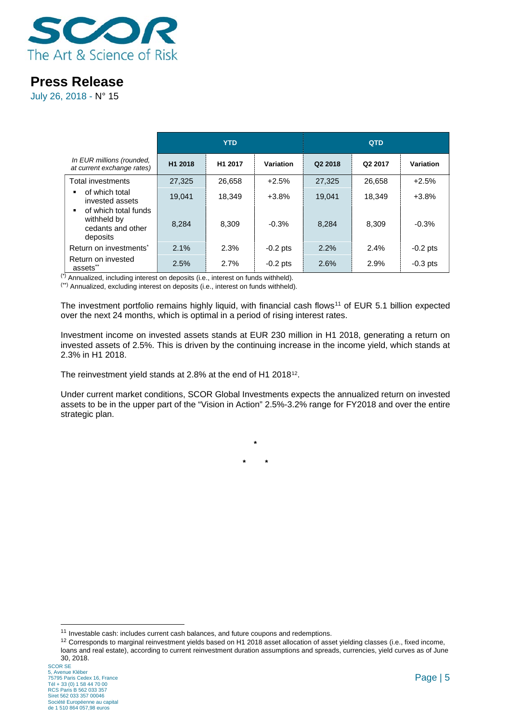

July 26, 2018 - N° 15

|                                                                      | <b>YTD</b>          |         |            | <b>QTD</b> |         |            |
|----------------------------------------------------------------------|---------------------|---------|------------|------------|---------|------------|
| In EUR millions (rounded,<br>at current exchange rates)              | H <sub>1</sub> 2018 | H1 2017 | Variation  | Q2 2018    | Q2 2017 | Variation  |
| <b>Total investments</b>                                             | 27.325              | 26.658  | $+2.5%$    | 27.325     | 26.658  | $+2.5%$    |
| of which total<br>invested assets                                    | 19.041              | 18.349  | $+3.8%$    | 19.041     | 18.349  | $+3.8%$    |
| of which total funds<br>withheld by<br>cedants and other<br>deposits | 8.284               | 8.309   | $-0.3%$    | 8.284      | 8.309   | $-0.3%$    |
| Return on investments <sup>*</sup>                                   | $2.1\%$             | 2.3%    | $-0.2$ pts | 2.2%       | 2.4%    | $-0.2$ pts |
| Return on invested<br>assets <sup>*</sup>                            | 2.5%                | 2.7%    | $-0.2$ pts | 2.6%       | 2.9%    | $-0.3$ pts |

(\*) Annualized, including interest on deposits (i.e., interest on funds withheld).

(\*\*) Annualized, excluding interest on deposits (i.e., interest on funds withheld).

The investment portfolio remains highly liquid, with financial cash flows<sup>[11](#page-4-0)</sup> of EUR 5.1 billion expected over the next 24 months, which is optimal in a period of rising interest rates.

Investment income on invested assets stands at EUR 230 million in H1 2018, generating a return on invested assets of 2.5%. This is driven by the continuing increase in the income yield, which stands at 2.3% in H1 2018.

The reinvestment yield stands at 2.8% at the end of H1 2018[12.](#page-4-1)

Under current market conditions, SCOR Global Investments expects the annualized return on invested assets to be in the upper part of the "Vision in Action" 2.5%-3.2% range for FY2018 and over the entire strategic plan.

> **\* \* \***

<sup>&</sup>lt;sup>11</sup> Investable cash: includes current cash balances, and future coupons and redemptions.

<span id="page-4-1"></span><span id="page-4-0"></span><sup>&</sup>lt;sup>12</sup> Corresponds to marginal reinvestment yields based on H1 2018 asset allocation of asset yielding classes (i.e., fixed income, loans and real estate), according to current reinvestment duration assumptions and spreads, currencies, yield curves as of June 30, 2018.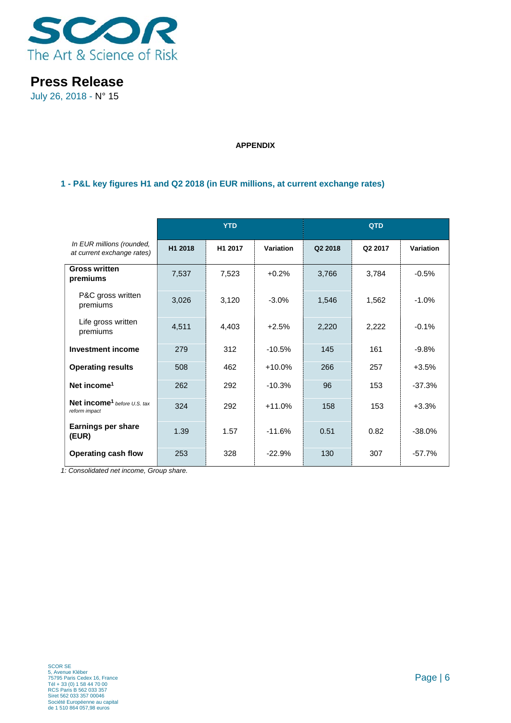

July 26, 2018 - N° 15

### **APPENDIX**

### **1 - P&L key figures H1 and Q2 2018 (in EUR millions, at current exchange rates)**

|                                                          | <b>YTD</b> |         |           | QTD     |         |                  |
|----------------------------------------------------------|------------|---------|-----------|---------|---------|------------------|
| In EUR millions (rounded,<br>at current exchange rates)  | H1 2018    | H1 2017 | Variation | Q2 2018 | Q2 2017 | <b>Variation</b> |
| <b>Gross written</b><br>premiums                         | 7,537      | 7,523   | $+0.2%$   | 3,766   | 3,784   | $-0.5%$          |
| P&C gross written<br>premiums                            | 3,026      | 3,120   | $-3.0%$   | 1,546   | 1,562   | $-1.0%$          |
| Life gross written<br>premiums                           | 4,511      | 4,403   | $+2.5%$   | 2,220   | 2,222   | $-0.1%$          |
| <b>Investment income</b>                                 | 279        | 312     | $-10.5%$  | 145     | 161     | $-9.8%$          |
| <b>Operating results</b>                                 | 508        | 462     | $+10.0%$  | 266     | 257     | $+3.5%$          |
| Net income <sup>1</sup>                                  | 262        | 292     | $-10.3%$  | 96      | 153     | $-37.3%$         |
| Net income <sup>1</sup> before U.S. tax<br>reform impact | 324        | 292     | $+11.0%$  | 158     | 153     | $+3.3%$          |
| <b>Earnings per share</b><br>(EUR)                       | 1.39       | 1.57    | $-11.6%$  | 0.51    | 0.82    | $-38.0%$         |
| <b>Operating cash flow</b>                               | 253        | 328     | $-22.9%$  | 130     | 307     | $-57.7%$         |

*1: Consolidated net income, Group share.*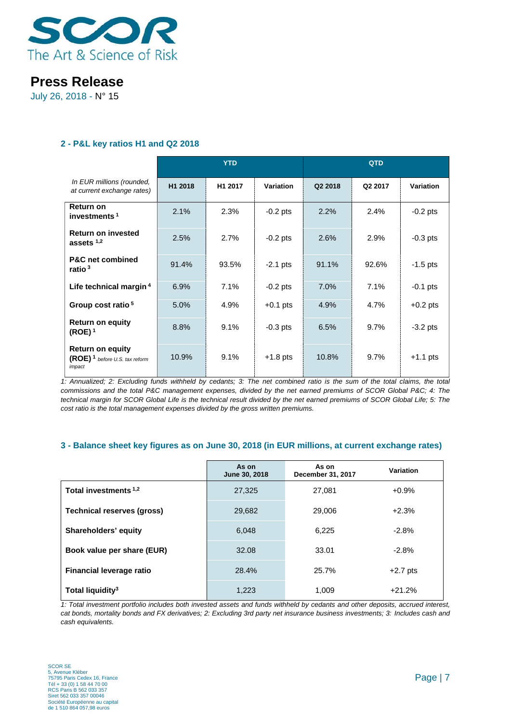

July 26, 2018 - N° 15

### **2 - P&L key ratios H1 and Q2 2018**

|                                                                       | <b>YTD</b> |         |                  | <b>QTD</b> |         |                  |
|-----------------------------------------------------------------------|------------|---------|------------------|------------|---------|------------------|
| In EUR millions (rounded,<br>at current exchange rates)               | H1 2018    | H1 2017 | <b>Variation</b> | Q2 2018    | Q2 2017 | <b>Variation</b> |
| <b>Return on</b><br>investments <sup>1</sup>                          | 2.1%       | 2.3%    | $-0.2$ pts       | 2.2%       | 2.4%    | $-0.2$ pts       |
| <b>Return on invested</b><br>assets $1,2$                             | 2.5%       | 2.7%    | $-0.2$ pts       | 2.6%       | 2.9%    | $-0.3$ pts       |
| <b>P&amp;C</b> net combined<br>ratio <sup>3</sup>                     | 91.4%      | 93.5%   | $-2.1$ pts       | 91.1%      | 92.6%   | $-1.5$ pts       |
| Life technical margin <sup>4</sup>                                    | 6.9%       | $7.1\%$ | $-0.2$ pts       | 7.0%       | $7.1\%$ | $-0.1$ pts       |
| Group cost ratio <sup>5</sup>                                         | 5.0%       | 4.9%    | $+0.1$ pts       | 4.9%       | 4.7%    | $+0.2$ pts       |
| <b>Return on equity</b><br>$(ROE)^1$                                  | 8.8%       | 9.1%    | $-0.3$ pts       | 6.5%       | 9.7%    | $-3.2$ pts       |
| <b>Return on equity</b><br>$(ROE)^1$ before U.S. tax reform<br>impact | 10.9%      | 9.1%    | $+1.8$ pts       | 10.8%      | $9.7\%$ | $+1.1$ pts       |

*1: Annualized; 2: Excluding funds withheld by cedants; 3: The net combined ratio is the sum of the total claims, the total commissions and the total P&C management expenses, divided by the net earned premiums of SCOR Global P&C; 4: The technical margin for SCOR Global Life is the technical result divided by the net earned premiums of SCOR Global Life; 5: The cost ratio is the total management expenses divided by the gross written premiums.* 

### **3 - Balance sheet key figures as on June 30, 2018 (in EUR millions, at current exchange rates)**

|                                   | As on<br>June 30, 2018 | As on<br>December 31, 2017 | Variation  |
|-----------------------------------|------------------------|----------------------------|------------|
| Total investments <sup>1,2</sup>  | 27,325                 | 27,081                     | $+0.9%$    |
| <b>Technical reserves (gross)</b> | 29,682                 | 29,006                     | $+2.3%$    |
| Shareholders' equity              | 6.048                  | 6.225                      | $-2.8%$    |
| Book value per share (EUR)        | 32.08                  | 33.01                      | $-2.8%$    |
| <b>Financial leverage ratio</b>   | 28.4%                  | 25.7%                      | $+2.7$ pts |
| Total liquidity <sup>3</sup>      |                        |                            | $+21.2%$   |

*1: Total investment portfolio includes both invested assets and funds withheld by cedants and other deposits, accrued interest, cat bonds, mortality bonds and FX derivatives; 2: Excluding 3rd party net insurance business investments; 3: Includes cash and cash equivalents.*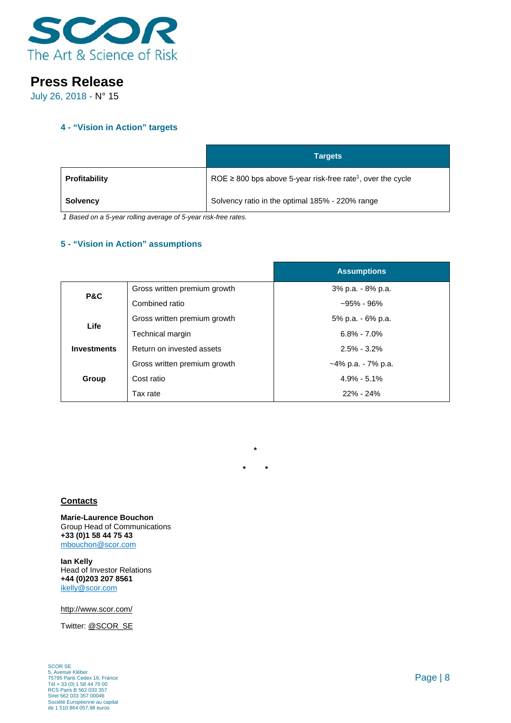

July 26, 2018 - N° 15

### **4 - "Vision in Action" targets**

|               | <b>Targets</b>                                                               |
|---------------|------------------------------------------------------------------------------|
| Profitability | ROE $\geq$ 800 bps above 5-year risk-free rate <sup>1</sup> , over the cycle |
| Solvency      | Solvency ratio in the optimal 185% - 220% range                              |

*1 Based on a 5-year rolling average of 5-year risk-free rates.*

### **5 - "Vision in Action" assumptions**

|             |                              | <b>Assumptions</b> |
|-------------|------------------------------|--------------------|
| P&C         | Gross written premium growth | 3% p.a. - 8% p.a.  |
|             | Combined ratio               | $-95\%$ - 96%      |
| Life        | Gross written premium growth | 5% p.a. - 6% p.a.  |
|             | Technical margin             | $6.8\% - 7.0\%$    |
| Investments | Return on invested assets    | $2.5\% - 3.2\%$    |
|             | Gross written premium growth | ~4% p.a. - 7% p.a. |
| Group       | Cost ratio                   | $4.9\% - 5.1\%$    |
|             | Tax rate                     | $22\%$ - $24\%$    |

**\***

**\* \***

#### **Contacts**

**Marie-Laurence Bouchon** Group Head of Communications **+33 (0)1 58 44 75 43** [mbouchon@scor.com](mailto:mbouchon@scor.com)

**Ian Kelly** Head of Investor Relations **+44 (0)203 207 8561** [ikelly@scor.com](mailto:ikelly@scor.com)

[http://www.scor.com/](http://www.scor.com/en/)

Twitter: [@SCOR\\_SE](https://twitter.com/SCOR_SE)

SCOR SE<br>5, Avenue Kléber<br>75795 Paris Cedex 16, France<br>Tél + 33 (0) 1 58 44 70 00<br>RCS Paris B 562 033 357<br>Siret 562 033 357 00046<br>Société Européenne au capital<br>de 1 510 864 057,98 euros